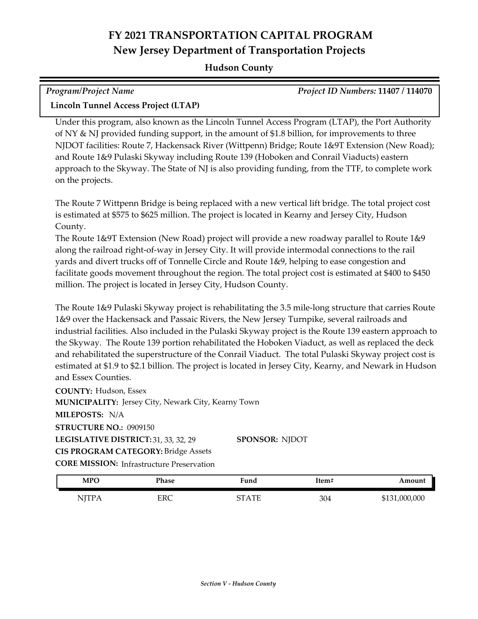## **FY 2021 TRANSPORTATION CAPITAL PROGRAM New Jersey Department of Transportation Projects**

## **Hudson County**

| <b>Program/Project Name</b>          | <b>Project ID Numbers: 11407 / 114070</b> |
|--------------------------------------|-------------------------------------------|
| Lincoln Tunnel Access Project (LTAP) |                                           |

Under this program, also known as the Lincoln Tunnel Access Program (LTAP), the Port Authority of NY & NJ provided funding support, in the amount of \$1.8 billion, for improvements to three NJDOT facilities: Route 7, Hackensack River (Wittpenn) Bridge; Route 1&9T Extension (New Road); and Route 1&9 Pulaski Skyway including Route 139 (Hoboken and Conrail Viaducts) eastern approach to the Skyway. The State of NJ is also providing funding, from the TTF, to complete work on the projects.

The Route 7 Wittpenn Bridge is being replaced with a new vertical lift bridge. The total project cost is estimated at \$575 to \$625 million. The project is located in Kearny and Jersey City, Hudson County.

The Route 1&9T Extension (New Road) project will provide a new roadway parallel to Route 1&9 along the railroad right-of-way in Jersey City. It will provide intermodal connections to the rail yards and divert trucks off of Tonnelle Circle and Route 1&9, helping to ease congestion and facilitate goods movement throughout the region. The total project cost is estimated at \$400 to \$450 million. The project is located in Jersey City, Hudson County.

The Route 1&9 Pulaski Skyway project is rehabilitating the 3.5 mile-long structure that carries Route 1&9 over the Hackensack and Passaic Rivers, the New Jersey Turnpike, several railroads and industrial facilities. Also included in the Pulaski Skyway project is the Route 139 eastern approach to the Skyway. The Route 139 portion rehabilitated the Hoboken Viaduct, as well as replaced the deck and rehabilitated the superstructure of the Conrail Viaduct. The total Pulaski Skyway project cost is estimated at \$1.9 to \$2.1 billion. The project is located in Jersey City, Kearny, and Newark in Hudson and Essex Counties.

**COUNTY:** Hudson, Essex LEGISLATIVE DISTRICT: 31, 33, 32, 29 **MILEPOSTS:** N/A **STRUCTURE NO.:** 0909150 **MUNICIPALITY: Jersey City, Newark City, Kearny Town CORE MISSION:** Infrastructure Preservation **SPONSOR:** NJDOT **CIS PROGRAM CATEGORY:** Bridge Assets

| <b>MPO</b> | Phase | ™und | Item# | Amount        |
|------------|-------|------|-------|---------------|
| NITP.      | ERC   | . TE | 304   | \$131,000,000 |